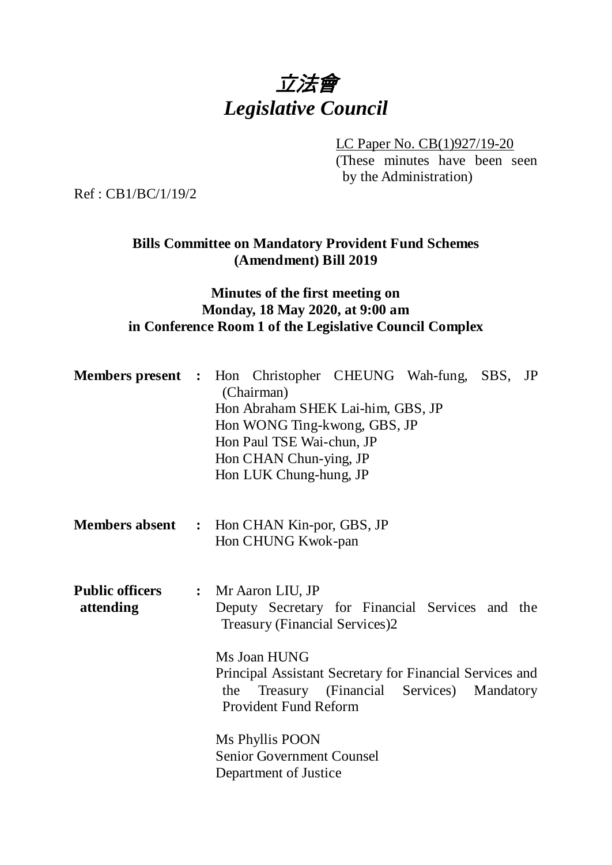

LC Paper No. CB(1)927/19-20

(These minutes have been seen by the Administration)

Ref : CB1/BC/1/19/2

## **Bills Committee on Mandatory Provident Fund Schemes (Amendment) Bill 2019**

## **Minutes of the first meeting on Monday, 18 May 2020, at 9:00 am in Conference Room 1 of the Legislative Council Complex**

| Members present : Hon Christopher CHEUNG Wah-fung, SBS, JP |     | (Chairman)<br>Hon Abraham SHEK Lai-him, GBS, JP<br>Hon WONG Ting-kwong, GBS, JP<br>Hon Paul TSE Wai-chun, JP<br>Hon CHAN Chun-ying, JP<br>Hon LUK Chung-hung, JP                                             |                               |           |  |
|------------------------------------------------------------|-----|--------------------------------------------------------------------------------------------------------------------------------------------------------------------------------------------------------------|-------------------------------|-----------|--|
| <b>Members absent : Hon CHAN Kin-por, GBS, JP</b>          |     | Hon CHUNG Kwok-pan                                                                                                                                                                                           |                               |           |  |
| <b>Public officers</b><br>attending                        | the | : Mr Aaron LIU, JP<br>Deputy Secretary for Financial Services and the<br>Treasury (Financial Services)2<br>Ms Joan HUNG<br>Principal Assistant Secretary for Financial Services and<br>Provident Fund Reform | Treasury (Financial Services) | Mandatory |  |
|                                                            |     | Ms Phyllis POON<br><b>Senior Government Counsel</b><br>Department of Justice                                                                                                                                 |                               |           |  |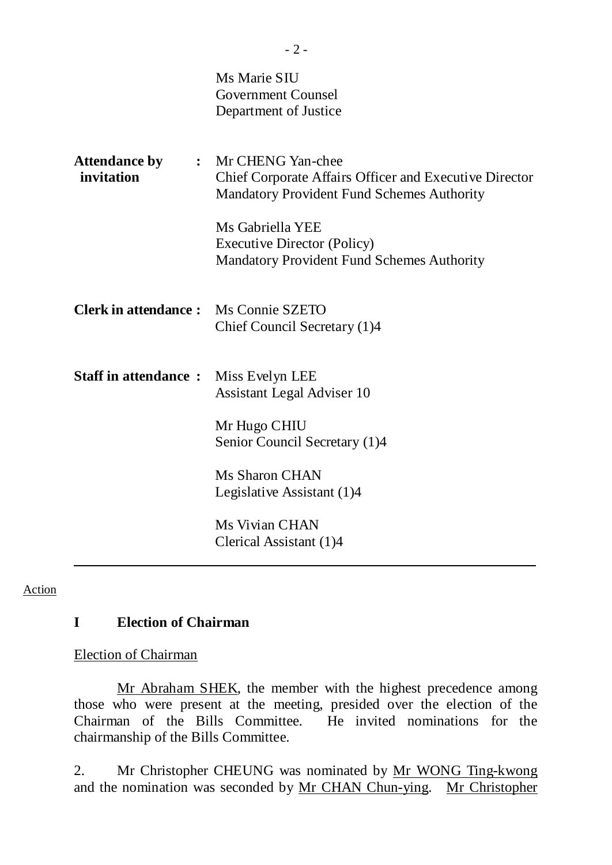|                                             | Ms Marie SIU<br><b>Government Counsel</b><br>Department of Justice                                                                                                                                                                                       |
|---------------------------------------------|----------------------------------------------------------------------------------------------------------------------------------------------------------------------------------------------------------------------------------------------------------|
| <b>Attendance by</b><br>invitation          | : Mr CHENG Yan-chee<br><b>Chief Corporate Affairs Officer and Executive Director</b><br><b>Mandatory Provident Fund Schemes Authority</b><br>Ms Gabriella YEE<br><b>Executive Director (Policy)</b><br><b>Mandatory Provident Fund Schemes Authority</b> |
| <b>Clerk in attendance:</b> Ms Connie SZETO | Chief Council Secretary (1)4                                                                                                                                                                                                                             |
| <b>Staff in attendance:</b>                 | Miss Evelyn LEE<br>Assistant Legal Adviser 10<br>Mr Hugo CHIU<br>Senior Council Secretary (1)4                                                                                                                                                           |
|                                             | <b>Ms Sharon CHAN</b><br>Legislative Assistant (1)4                                                                                                                                                                                                      |
|                                             | Ms Vivian CHAN<br>Clerical Assistant (1)4                                                                                                                                                                                                                |

#### **Action**

#### **I Election of Chairman**

Election of Chairman

Mr Abraham SHEK, the member with the highest precedence among those who were present at the meeting, presided over the election of the Chairman of the Bills Committee. He invited nominations for the chairmanship of the Bills Committee.

2. Mr Christopher CHEUNG was nominated by Mr WONG Ting-kwong and the nomination was seconded by Mr CHAN Chun-ying. Mr Christopher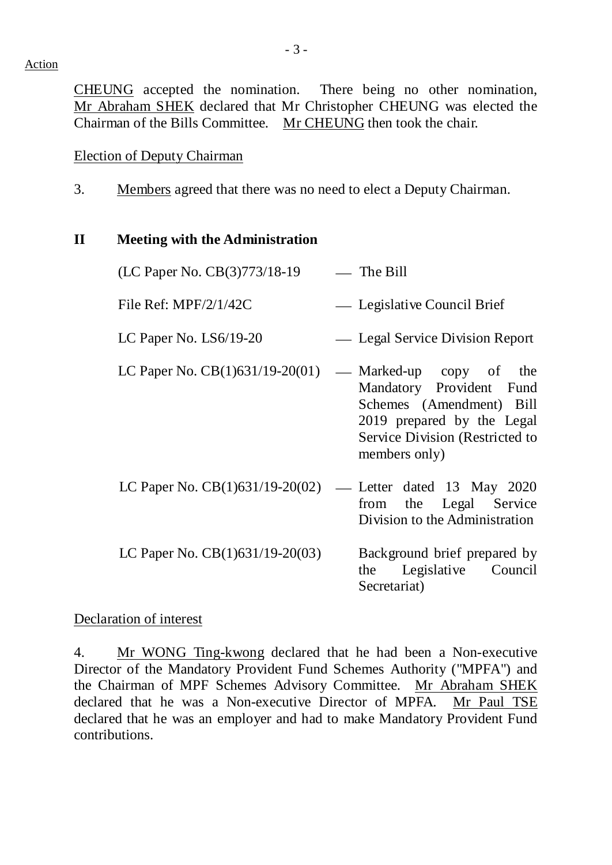CHEUNG accepted the nomination. There being no other nomination, Mr Abraham SHEK declared that Mr Christopher CHEUNG was elected the Chairman of the Bills Committee. Mr CHEUNG then took the chair.

## Election of Deputy Chairman

3. Members agreed that there was no need to elect a Deputy Chairman.

#### **II Meeting with the Administration**

| (LC Paper No. CB(3)773/18-19 | $\equiv$ The Bill           |
|------------------------------|-----------------------------|
| File Ref: $MPF/2/1/42C$      | — Legislative Council Brief |

- LC Paper No. LS6/19-20 Legal Service Division Report
- LC Paper No.  $CB(1)631/19-20(01)$  Marked-up copy of the Mandatory Provident Fund Schemes (Amendment) Bill 2019 prepared by the Legal Service Division (Restricted to members only)
- LC Paper No. CB(1)631/19-20(02) Letter dated 13 May 2020 from the Legal Service Division to the Administration LC Paper No.  $CB(1)631/19-20(03)$  Background brief prepared by the Legislative Council

Secretariat)

## Declaration of interest

4. Mr WONG Ting-kwong declared that he had been a Non-executive Director of the Mandatory Provident Fund Schemes Authority ("MPFA") and the Chairman of MPF Schemes Advisory Committee. Mr Abraham SHEK declared that he was a Non-executive Director of MPFA. Mr Paul TSE declared that he was an employer and had to make Mandatory Provident Fund contributions.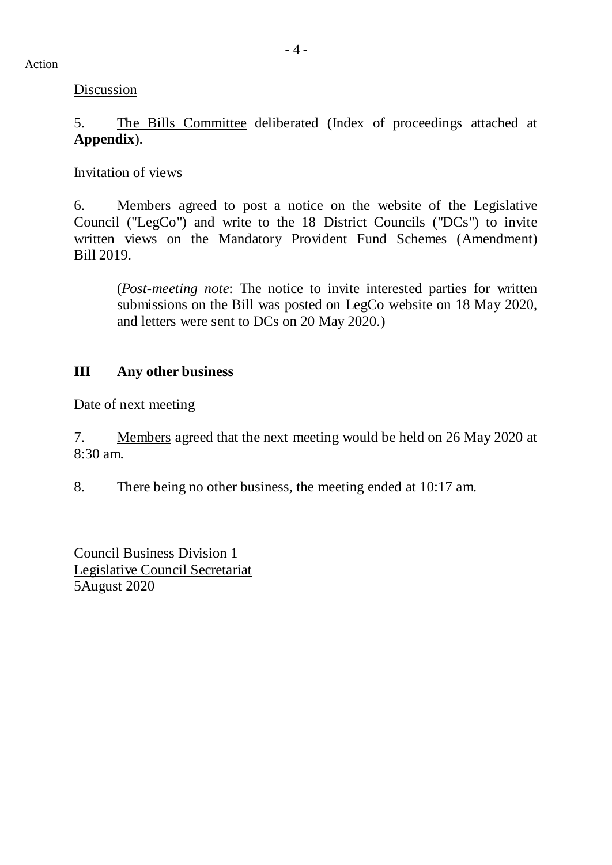**Discussion** 

5. The Bills Committee deliberated (Index of proceedings attached at **Appendix**).

## Invitation of views

6. Members agreed to post a notice on the website of the Legislative Council ("LegCo") and write to the 18 District Councils ("DCs") to invite written views on the Mandatory Provident Fund Schemes (Amendment) Bill 2019.

(*Post-meeting note*: The notice to invite interested parties for written submissions on the Bill was posted on LegCo website on 18 May 2020, and letters were sent to DCs on 20 May 2020.)

# **III Any other business**

Date of next meeting

7. Members agreed that the next meeting would be held on 26 May 2020 at 8:30 am.

8. There being no other business, the meeting ended at 10:17 am.

Council Business Division 1 Legislative Council Secretariat 5August 2020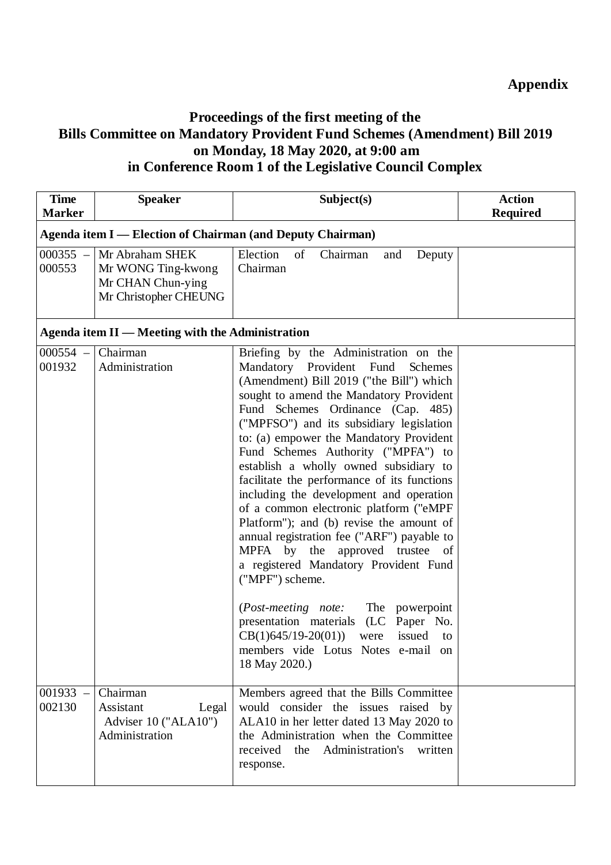# **Proceedings of the first meeting of the Bills Committee on Mandatory Provident Fund Schemes (Amendment) Bill 2019 on Monday, 18 May 2020, at 9:00 am in Conference Room 1 of the Legislative Council Complex**

| <b>Time</b><br><b>Marker</b> | <b>Speaker</b>                                                                      | Subject(s)                                                                                                                                                                                                                                                                                                                                                                                                                                                                                                                                                                                                                                                                                                                                                                                                                                                                                        | <b>Action</b><br><b>Required</b> |  |  |
|------------------------------|-------------------------------------------------------------------------------------|---------------------------------------------------------------------------------------------------------------------------------------------------------------------------------------------------------------------------------------------------------------------------------------------------------------------------------------------------------------------------------------------------------------------------------------------------------------------------------------------------------------------------------------------------------------------------------------------------------------------------------------------------------------------------------------------------------------------------------------------------------------------------------------------------------------------------------------------------------------------------------------------------|----------------------------------|--|--|
|                              | <b>Agenda item I — Election of Chairman (and Deputy Chairman)</b>                   |                                                                                                                                                                                                                                                                                                                                                                                                                                                                                                                                                                                                                                                                                                                                                                                                                                                                                                   |                                  |  |  |
| $000355 -$<br>000553         | Mr Abraham SHEK<br>Mr WONG Ting-kwong<br>Mr CHAN Chun-ying<br>Mr Christopher CHEUNG | Election<br>of<br>Chairman<br>Deputy<br>and<br>Chairman                                                                                                                                                                                                                                                                                                                                                                                                                                                                                                                                                                                                                                                                                                                                                                                                                                           |                                  |  |  |
|                              | Agenda item II — Meeting with the Administration                                    |                                                                                                                                                                                                                                                                                                                                                                                                                                                                                                                                                                                                                                                                                                                                                                                                                                                                                                   |                                  |  |  |
| $000554 -$<br>001932         | Chairman<br>Administration                                                          | Briefing by the Administration on the<br>Mandatory Provident Fund<br>Schemes<br>(Amendment) Bill 2019 ("the Bill") which<br>sought to amend the Mandatory Provident<br>Fund Schemes Ordinance (Cap. 485)<br>("MPFSO") and its subsidiary legislation<br>to: (a) empower the Mandatory Provident<br>Fund Schemes Authority ("MPFA") to<br>establish a wholly owned subsidiary to<br>facilitate the performance of its functions<br>including the development and operation<br>of a common electronic platform ("eMPF<br>Platform"); and (b) revise the amount of<br>annual registration fee ("ARF") payable to<br>MPFA by the approved trustee of<br>a registered Mandatory Provident Fund<br>("MPF") scheme.<br>( <i>Post-meeting note:</i> The powerpoint<br>presentation materials (LC Paper No.<br>$CB(1)645/19-20(01))$ were issued to<br>members vide Lotus Notes e-mail on<br>18 May 2020.) |                                  |  |  |
| $001933 -$<br>002130         | Chairman<br>Assistant<br>Legal<br>Adviser 10 ("ALA10")<br>Administration            | Members agreed that the Bills Committee<br>would consider the issues raised by<br>ALA10 in her letter dated 13 May 2020 to<br>the Administration when the Committee<br>received<br>the<br>Administration's<br>written<br>response.                                                                                                                                                                                                                                                                                                                                                                                                                                                                                                                                                                                                                                                                |                                  |  |  |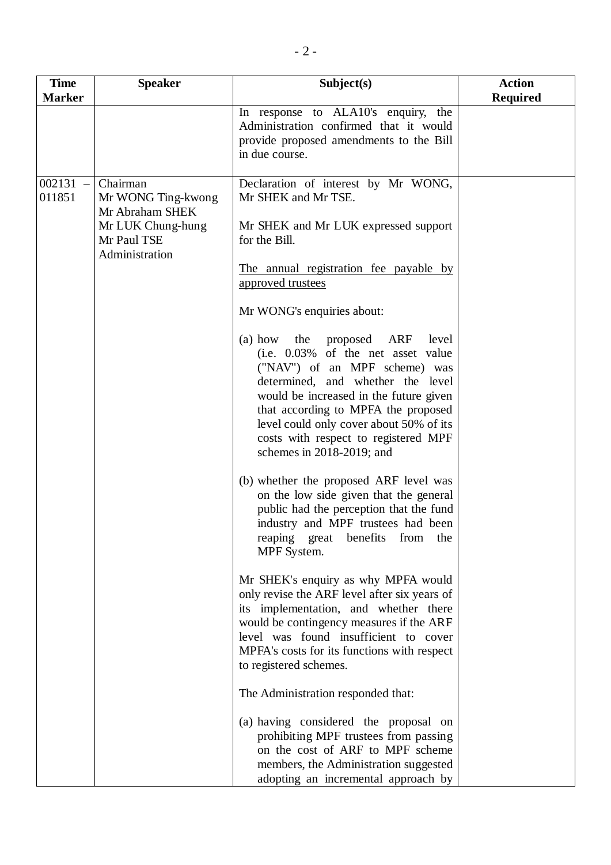| <b>Time</b>      | <b>Speaker</b>                                                                                          | Subject(s)                                                                                                                                                                                                                                                                                                                                                                                                                                                                                                                                                                                                                                                                                                                                                                                                                                                                                                                                                                                                                                                                                                                                                                                                         | <b>Action</b>   |
|------------------|---------------------------------------------------------------------------------------------------------|--------------------------------------------------------------------------------------------------------------------------------------------------------------------------------------------------------------------------------------------------------------------------------------------------------------------------------------------------------------------------------------------------------------------------------------------------------------------------------------------------------------------------------------------------------------------------------------------------------------------------------------------------------------------------------------------------------------------------------------------------------------------------------------------------------------------------------------------------------------------------------------------------------------------------------------------------------------------------------------------------------------------------------------------------------------------------------------------------------------------------------------------------------------------------------------------------------------------|-----------------|
| <b>Marker</b>    |                                                                                                         |                                                                                                                                                                                                                                                                                                                                                                                                                                                                                                                                                                                                                                                                                                                                                                                                                                                                                                                                                                                                                                                                                                                                                                                                                    | <b>Required</b> |
|                  |                                                                                                         | In response to ALA10's enquiry, the<br>Administration confirmed that it would<br>provide proposed amendments to the Bill<br>in due course.                                                                                                                                                                                                                                                                                                                                                                                                                                                                                                                                                                                                                                                                                                                                                                                                                                                                                                                                                                                                                                                                         |                 |
| 002131<br>011851 | Chairman<br>Mr WONG Ting-kwong<br>Mr Abraham SHEK<br>Mr LUK Chung-hung<br>Mr Paul TSE<br>Administration | Declaration of interest by Mr WONG,<br>Mr SHEK and Mr TSE.<br>Mr SHEK and Mr LUK expressed support<br>for the Bill.<br>The annual registration fee payable by<br>approved trustees<br>Mr WONG's enquiries about:<br>(a) how the proposed ARF<br>level<br>(i.e. 0.03% of the net asset value<br>("NAV") of an MPF scheme) was<br>determined, and whether the level<br>would be increased in the future given<br>that according to MPFA the proposed<br>level could only cover about 50% of its<br>costs with respect to registered MPF<br>schemes in 2018-2019; and<br>(b) whether the proposed ARF level was<br>on the low side given that the general<br>public had the perception that the fund<br>industry and MPF trustees had been<br>reaping great benefits from<br>the<br>MPF System.<br>Mr SHEK's enquiry as why MPFA would<br>only revise the ARF level after six years of<br>its implementation, and whether there<br>would be contingency measures if the ARF<br>level was found insufficient to cover<br>MPFA's costs for its functions with respect<br>to registered schemes.<br>The Administration responded that:<br>(a) having considered the proposal on<br>prohibiting MPF trustees from passing |                 |
|                  |                                                                                                         | on the cost of ARF to MPF scheme<br>members, the Administration suggested<br>adopting an incremental approach by                                                                                                                                                                                                                                                                                                                                                                                                                                                                                                                                                                                                                                                                                                                                                                                                                                                                                                                                                                                                                                                                                                   |                 |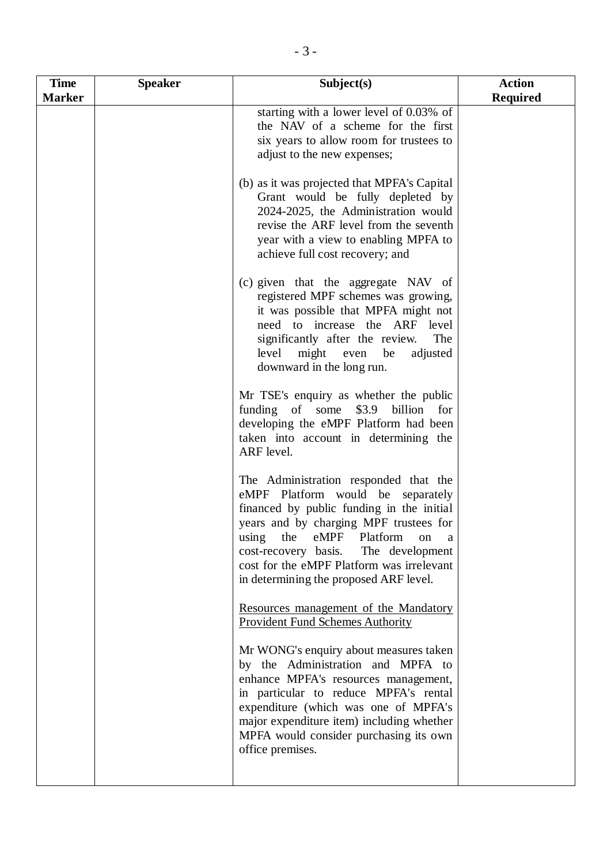| <b>Time</b>   | <b>Speaker</b> | Subject(s)                                                                                                                                                                                                                                                                                                                                | <b>Action</b>   |
|---------------|----------------|-------------------------------------------------------------------------------------------------------------------------------------------------------------------------------------------------------------------------------------------------------------------------------------------------------------------------------------------|-----------------|
| <b>Marker</b> |                |                                                                                                                                                                                                                                                                                                                                           | <b>Required</b> |
|               |                | starting with a lower level of 0.03% of<br>the NAV of a scheme for the first<br>six years to allow room for trustees to<br>adjust to the new expenses;                                                                                                                                                                                    |                 |
|               |                | (b) as it was projected that MPFA's Capital<br>Grant would be fully depleted by<br>2024-2025, the Administration would<br>revise the ARF level from the seventh<br>year with a view to enabling MPFA to<br>achieve full cost recovery; and                                                                                                |                 |
|               |                | (c) given that the aggregate NAV of<br>registered MPF schemes was growing,<br>it was possible that MPFA might not<br>need to increase the ARF level<br>significantly after the review.<br>The<br>level<br>might even be<br>adjusted<br>downward in the long run.                                                                          |                 |
|               |                | Mr TSE's enquiry as whether the public<br>funding of some \$3.9 billion<br>for<br>developing the eMPF Platform had been<br>taken into account in determining the<br>ARF level.                                                                                                                                                            |                 |
|               |                | The Administration responded that the<br>eMPF Platform would be separately<br>financed by public funding in the initial<br>years and by charging MPF trustees for<br>using the eMPF Platform<br>on<br>a<br>The development<br>cost-recovery basis.<br>cost for the eMPF Platform was irrelevant<br>in determining the proposed ARF level. |                 |
|               |                | Resources management of the Mandatory<br><b>Provident Fund Schemes Authority</b>                                                                                                                                                                                                                                                          |                 |
|               |                | Mr WONG's enquiry about measures taken<br>by the Administration and MPFA to<br>enhance MPFA's resources management,<br>in particular to reduce MPFA's rental<br>expenditure (which was one of MPFA's<br>major expenditure item) including whether<br>MPFA would consider purchasing its own<br>office premises.                           |                 |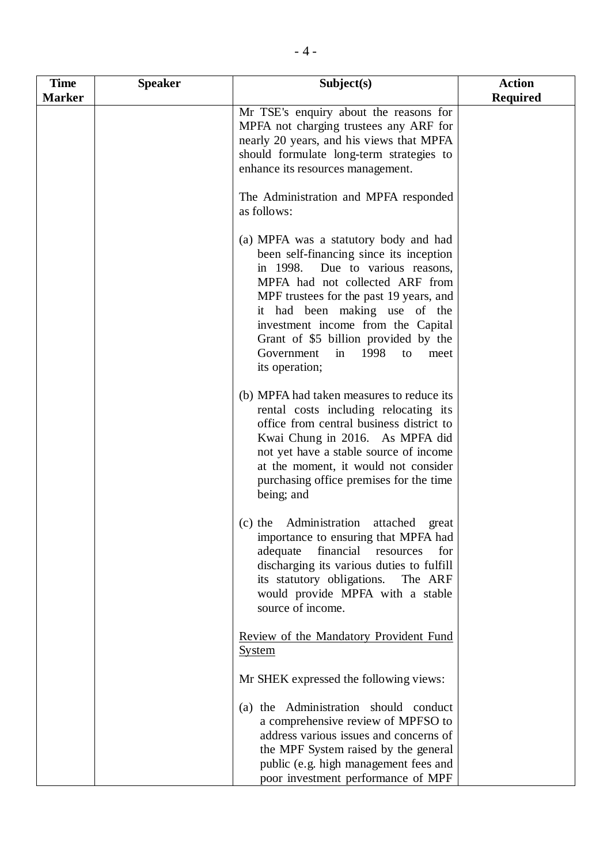| <b>Time</b>   | <b>Speaker</b> | Subject(s)                                                                                                                                                                                                                                                                                                                                                                       | <b>Action</b>   |
|---------------|----------------|----------------------------------------------------------------------------------------------------------------------------------------------------------------------------------------------------------------------------------------------------------------------------------------------------------------------------------------------------------------------------------|-----------------|
| <b>Marker</b> |                |                                                                                                                                                                                                                                                                                                                                                                                  | <b>Required</b> |
|               |                | Mr TSE's enquiry about the reasons for<br>MPFA not charging trustees any ARF for<br>nearly 20 years, and his views that MPFA<br>should formulate long-term strategies to<br>enhance its resources management.                                                                                                                                                                    |                 |
|               |                | The Administration and MPFA responded<br>as follows:                                                                                                                                                                                                                                                                                                                             |                 |
|               |                | (a) MPFA was a statutory body and had<br>been self-financing since its inception<br>in 1998.<br>Due to various reasons,<br>MPFA had not collected ARF from<br>MPF trustees for the past 19 years, and<br>it had been making use of the<br>investment income from the Capital<br>Grant of \$5 billion provided by the<br>Government<br>in<br>1998<br>to<br>meet<br>its operation; |                 |
|               |                | (b) MPFA had taken measures to reduce its<br>rental costs including relocating its<br>office from central business district to<br>Kwai Chung in 2016. As MPFA did<br>not yet have a stable source of income<br>at the moment, it would not consider<br>purchasing office premises for the time<br>being; and                                                                     |                 |
|               |                | (c) the Administration attached great<br>importance to ensuring that MPFA had<br>adequate<br>financial<br>resources<br>for<br>discharging its various duties to fulfill<br>its statutory obligations. The ARF<br>would provide MPFA with a stable<br>source of income.                                                                                                           |                 |
|               |                | Review of the Mandatory Provident Fund<br><u>System</u>                                                                                                                                                                                                                                                                                                                          |                 |
|               |                | Mr SHEK expressed the following views:                                                                                                                                                                                                                                                                                                                                           |                 |
|               |                | (a) the Administration should conduct<br>a comprehensive review of MPFSO to<br>address various issues and concerns of<br>the MPF System raised by the general<br>public (e.g. high management fees and<br>poor investment performance of MPF                                                                                                                                     |                 |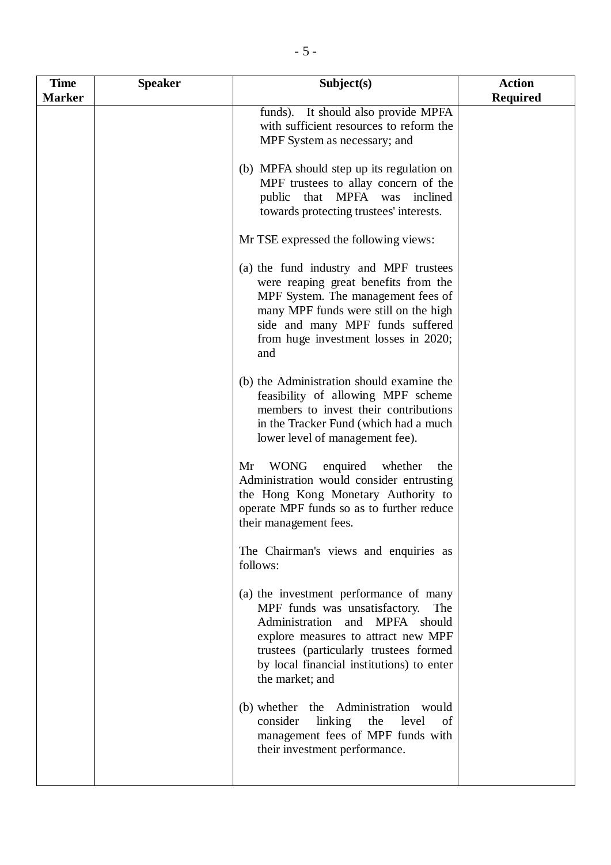| <b>Time</b>   | <b>Speaker</b> | Subject(s)                                                                                                                                                                                                                                                        | <b>Action</b>   |
|---------------|----------------|-------------------------------------------------------------------------------------------------------------------------------------------------------------------------------------------------------------------------------------------------------------------|-----------------|
| <b>Marker</b> |                |                                                                                                                                                                                                                                                                   | <b>Required</b> |
|               |                | funds). It should also provide MPFA<br>with sufficient resources to reform the<br>MPF System as necessary; and                                                                                                                                                    |                 |
|               |                | (b) MPFA should step up its regulation on<br>MPF trustees to allay concern of the<br>public that MPFA was inclined<br>towards protecting trustees' interests.                                                                                                     |                 |
|               |                | Mr TSE expressed the following views:                                                                                                                                                                                                                             |                 |
|               |                | (a) the fund industry and MPF trustees<br>were reaping great benefits from the<br>MPF System. The management fees of<br>many MPF funds were still on the high<br>side and many MPF funds suffered<br>from huge investment losses in 2020;<br>and                  |                 |
|               |                | (b) the Administration should examine the<br>feasibility of allowing MPF scheme<br>members to invest their contributions<br>in the Tracker Fund (which had a much<br>lower level of management fee).                                                              |                 |
|               |                | <b>WONG</b><br>enquired<br>Mr<br>whether<br>the<br>Administration would consider entrusting<br>the Hong Kong Monetary Authority to<br>operate MPF funds so as to further reduce<br>their management fees.                                                         |                 |
|               |                | The Chairman's views and enquiries as<br>follows:                                                                                                                                                                                                                 |                 |
|               |                | (a) the investment performance of many<br>MPF funds was unsatisfactory.<br>The<br>Administration and MPFA should<br>explore measures to attract new MPF<br>trustees (particularly trustees formed<br>by local financial institutions) to enter<br>the market; and |                 |
|               |                | (b) whether the Administration would<br>consider<br>linking the<br>level<br>of<br>management fees of MPF funds with<br>their investment performance.                                                                                                              |                 |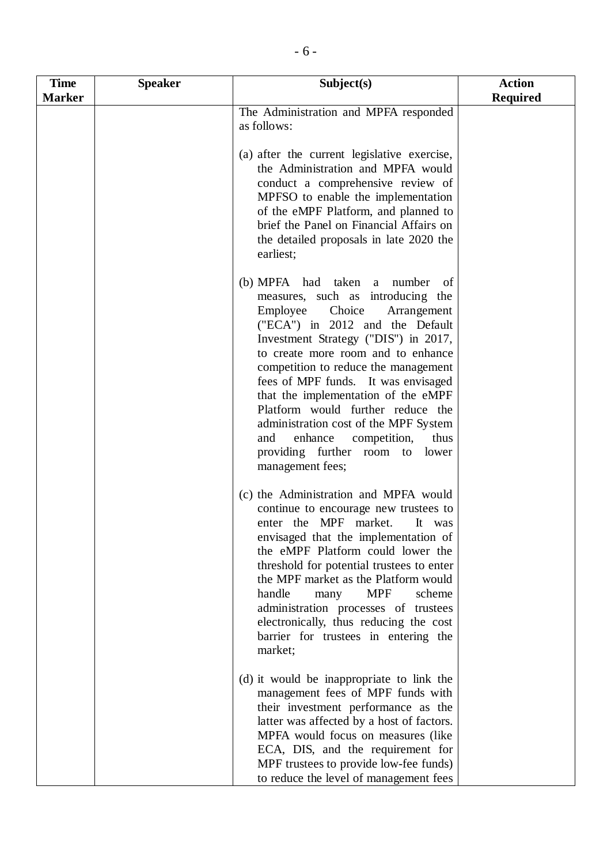| <b>Time</b>   | <b>Speaker</b> | Subject(s)                                                                                                                                                                                                                                                                                                                                                                                                                                                                                                                              | <b>Action</b>   |
|---------------|----------------|-----------------------------------------------------------------------------------------------------------------------------------------------------------------------------------------------------------------------------------------------------------------------------------------------------------------------------------------------------------------------------------------------------------------------------------------------------------------------------------------------------------------------------------------|-----------------|
| <b>Marker</b> |                |                                                                                                                                                                                                                                                                                                                                                                                                                                                                                                                                         | <b>Required</b> |
|               |                | The Administration and MPFA responded<br>as follows:                                                                                                                                                                                                                                                                                                                                                                                                                                                                                    |                 |
|               |                | (a) after the current legislative exercise,<br>the Administration and MPFA would<br>conduct a comprehensive review of<br>MPFSO to enable the implementation<br>of the eMPF Platform, and planned to<br>brief the Panel on Financial Affairs on<br>the detailed proposals in late 2020 the<br>earliest;                                                                                                                                                                                                                                  |                 |
|               |                | (b) MPFA had taken a<br>number<br>of<br>measures, such as introducing the<br>Employee<br>Choice<br>Arrangement<br>("ECA") in 2012 and the Default<br>Investment Strategy ("DIS") in 2017,<br>to create more room and to enhance<br>competition to reduce the management<br>fees of MPF funds. It was envisaged<br>that the implementation of the eMPF<br>Platform would further reduce the<br>administration cost of the MPF System<br>enhance<br>and<br>competition,<br>thus<br>providing further room to<br>lower<br>management fees; |                 |
|               |                | (c) the Administration and MPFA would<br>continue to encourage new trustees to<br>enter the MPF market.<br>It was<br>envisaged that the implementation of<br>the eMPF Platform could lower the<br>threshold for potential trustees to enter<br>the MPF market as the Platform would<br>handle<br><b>MPF</b><br>scheme<br>many<br>administration processes of trustees<br>electronically, thus reducing the cost<br>barrier for trustees in entering the<br>market;                                                                      |                 |
|               |                | (d) it would be inappropriate to link the<br>management fees of MPF funds with<br>their investment performance as the<br>latter was affected by a host of factors.<br>MPFA would focus on measures (like<br>ECA, DIS, and the requirement for<br>MPF trustees to provide low-fee funds)<br>to reduce the level of management fees                                                                                                                                                                                                       |                 |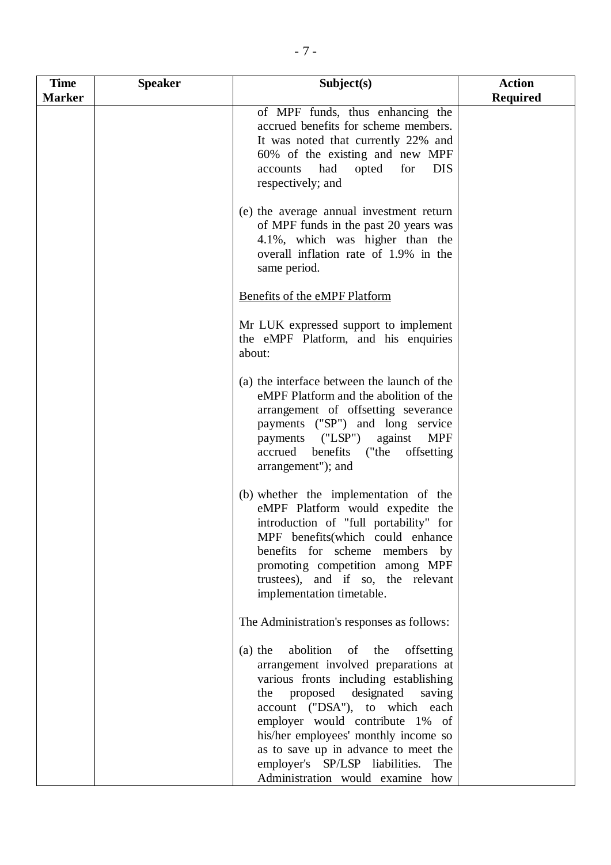| <b>Required</b><br><b>Marker</b><br>of MPF funds, thus enhancing the<br>accrued benefits for scheme members.<br>It was noted that currently 22% and<br>60% of the existing and new MPF<br>had<br>opted<br>for<br><b>DIS</b><br>accounts<br>respectively; and<br>(e) the average annual investment return<br>of MPF funds in the past 20 years was<br>4.1%, which was higher than the<br>overall inflation rate of 1.9% in the<br>same period.<br>Benefits of the eMPF Platform<br>Mr LUK expressed support to implement<br>the eMPF Platform, and his enquiries<br>about:<br>(a) the interface between the launch of the<br>eMPF Platform and the abolition of the<br>arrangement of offsetting severance<br>payments ("SP") and long service |  |
|-----------------------------------------------------------------------------------------------------------------------------------------------------------------------------------------------------------------------------------------------------------------------------------------------------------------------------------------------------------------------------------------------------------------------------------------------------------------------------------------------------------------------------------------------------------------------------------------------------------------------------------------------------------------------------------------------------------------------------------------------|--|
|                                                                                                                                                                                                                                                                                                                                                                                                                                                                                                                                                                                                                                                                                                                                               |  |
|                                                                                                                                                                                                                                                                                                                                                                                                                                                                                                                                                                                                                                                                                                                                               |  |
|                                                                                                                                                                                                                                                                                                                                                                                                                                                                                                                                                                                                                                                                                                                                               |  |
|                                                                                                                                                                                                                                                                                                                                                                                                                                                                                                                                                                                                                                                                                                                                               |  |
|                                                                                                                                                                                                                                                                                                                                                                                                                                                                                                                                                                                                                                                                                                                                               |  |
| payments ("LSP") against<br><b>MPF</b><br>accrued benefits ("the<br>offsetting<br>arrangement"); and                                                                                                                                                                                                                                                                                                                                                                                                                                                                                                                                                                                                                                          |  |
| (b) whether the implementation of the<br>eMPF Platform would expedite the<br>introduction of "full portability" for<br>MPF benefits(which could enhance<br>benefits for scheme members<br>$_{\rm by}$<br>promoting competition among MPF<br>trustees), and if so, the relevant<br>implementation timetable.                                                                                                                                                                                                                                                                                                                                                                                                                                   |  |
| The Administration's responses as follows:                                                                                                                                                                                                                                                                                                                                                                                                                                                                                                                                                                                                                                                                                                    |  |
| abolition<br>of the<br>$(a)$ the<br>offsetting<br>arrangement involved preparations at<br>various fronts including establishing<br>proposed designated<br>saving<br>the<br>account ("DSA"), to which each<br>employer would contribute 1% of<br>his/her employees' monthly income so<br>as to save up in advance to meet the<br>employer's SP/LSP liabilities.<br>The<br>Administration would examine how                                                                                                                                                                                                                                                                                                                                     |  |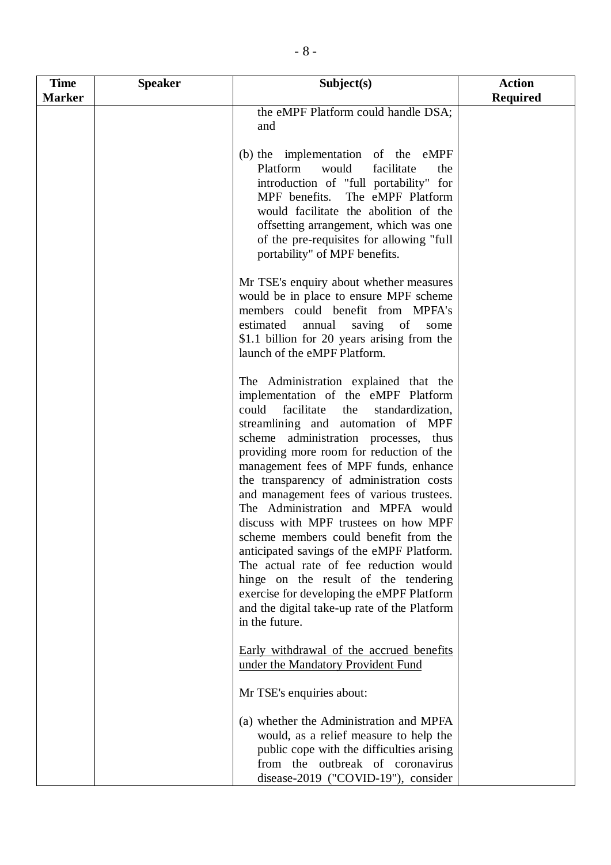| <b>Time</b>   | <b>Speaker</b> | Subject(s)                                                                                                                                                                                                                                                                                                                                                                                                                                                                                                                                                                                                                                                                                                                                                     | <b>Action</b>   |
|---------------|----------------|----------------------------------------------------------------------------------------------------------------------------------------------------------------------------------------------------------------------------------------------------------------------------------------------------------------------------------------------------------------------------------------------------------------------------------------------------------------------------------------------------------------------------------------------------------------------------------------------------------------------------------------------------------------------------------------------------------------------------------------------------------------|-----------------|
| <b>Marker</b> |                |                                                                                                                                                                                                                                                                                                                                                                                                                                                                                                                                                                                                                                                                                                                                                                | <b>Required</b> |
|               |                | the eMPF Platform could handle DSA;<br>and                                                                                                                                                                                                                                                                                                                                                                                                                                                                                                                                                                                                                                                                                                                     |                 |
|               |                | (b) the implementation of the eMPF<br>Platform<br>would<br>facilitate<br>the<br>introduction of "full portability" for<br>MPF benefits. The eMPF Platform<br>would facilitate the abolition of the<br>offsetting arrangement, which was one<br>of the pre-requisites for allowing "full<br>portability" of MPF benefits.                                                                                                                                                                                                                                                                                                                                                                                                                                       |                 |
|               |                | Mr TSE's enquiry about whether measures<br>would be in place to ensure MPF scheme<br>members could benefit from MPFA's<br>estimated<br>annual<br>saving of<br>some<br>\$1.1 billion for 20 years arising from the<br>launch of the eMPF Platform.                                                                                                                                                                                                                                                                                                                                                                                                                                                                                                              |                 |
|               |                | The Administration explained that the<br>implementation of the eMPF Platform<br>could<br>facilitate<br>standardization,<br>the<br>streamlining and automation of MPF<br>scheme administration processes, thus<br>providing more room for reduction of the<br>management fees of MPF funds, enhance<br>the transparency of administration costs<br>and management fees of various trustees.<br>The Administration and MPFA would<br>discuss with MPF trustees on how MPF<br>scheme members could benefit from the<br>anticipated savings of the eMPF Platform.<br>The actual rate of fee reduction would<br>hinge on the result of the tendering<br>exercise for developing the eMPF Platform<br>and the digital take-up rate of the Platform<br>in the future. |                 |
|               |                | Early withdrawal of the accrued benefits<br>under the Mandatory Provident Fund                                                                                                                                                                                                                                                                                                                                                                                                                                                                                                                                                                                                                                                                                 |                 |
|               |                | Mr TSE's enquiries about:<br>(a) whether the Administration and MPFA<br>would, as a relief measure to help the<br>public cope with the difficulties arising<br>from the outbreak of coronavirus<br>disease-2019 ("COVID-19"), consider                                                                                                                                                                                                                                                                                                                                                                                                                                                                                                                         |                 |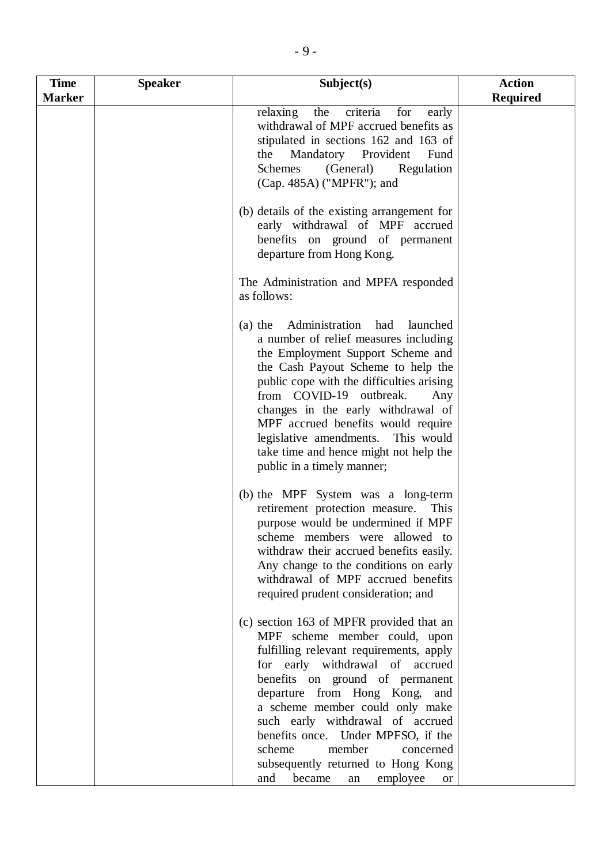| <b>Time</b>   | <b>Speaker</b> | Subject(s)                                                                                                                                                                                                                                                                                                                                                                                                                                                      | <b>Action</b>   |
|---------------|----------------|-----------------------------------------------------------------------------------------------------------------------------------------------------------------------------------------------------------------------------------------------------------------------------------------------------------------------------------------------------------------------------------------------------------------------------------------------------------------|-----------------|
| <b>Marker</b> |                |                                                                                                                                                                                                                                                                                                                                                                                                                                                                 | <b>Required</b> |
|               |                | relaxing<br>the<br>criteria<br>early<br>for<br>withdrawal of MPF accrued benefits as<br>stipulated in sections 162 and 163 of<br>the Mandatory Provident<br>Fund<br>Schemes<br>(General)<br>Regulation<br>(Cap. 485A) ("MPFR"); and                                                                                                                                                                                                                             |                 |
|               |                | (b) details of the existing arrangement for<br>early withdrawal of MPF accrued<br>benefits on ground of permanent<br>departure from Hong Kong.                                                                                                                                                                                                                                                                                                                  |                 |
|               |                | The Administration and MPFA responded<br>as follows:                                                                                                                                                                                                                                                                                                                                                                                                            |                 |
|               |                | Administration had<br>launched<br>$(a)$ the<br>a number of relief measures including<br>the Employment Support Scheme and<br>the Cash Payout Scheme to help the<br>public cope with the difficulties arising<br>from COVID-19 outbreak.<br>Any<br>changes in the early withdrawal of<br>MPF accrued benefits would require<br>legislative amendments. This would<br>take time and hence might not help the<br>public in a timely manner;                        |                 |
|               |                | (b) the MPF System was a long-term<br>retirement protection measure.<br>This<br>purpose would be undermined if MPF<br>scheme members were allowed to<br>withdraw their accrued benefits easily.<br>Any change to the conditions on early<br>withdrawal of MPF accrued benefits<br>required prudent consideration; and                                                                                                                                           |                 |
|               |                | (c) section 163 of MPFR provided that an<br>MPF scheme member could, upon<br>fulfilling relevant requirements, apply<br>for early withdrawal of accrued<br>benefits on ground of permanent<br>departure from Hong Kong, and<br>a scheme member could only make<br>such early withdrawal of accrued<br>benefits once. Under MPFSO, if the<br>scheme<br>member<br>concerned<br>subsequently returned to Hong Kong<br>became<br>employee<br>and<br>an<br><b>or</b> |                 |